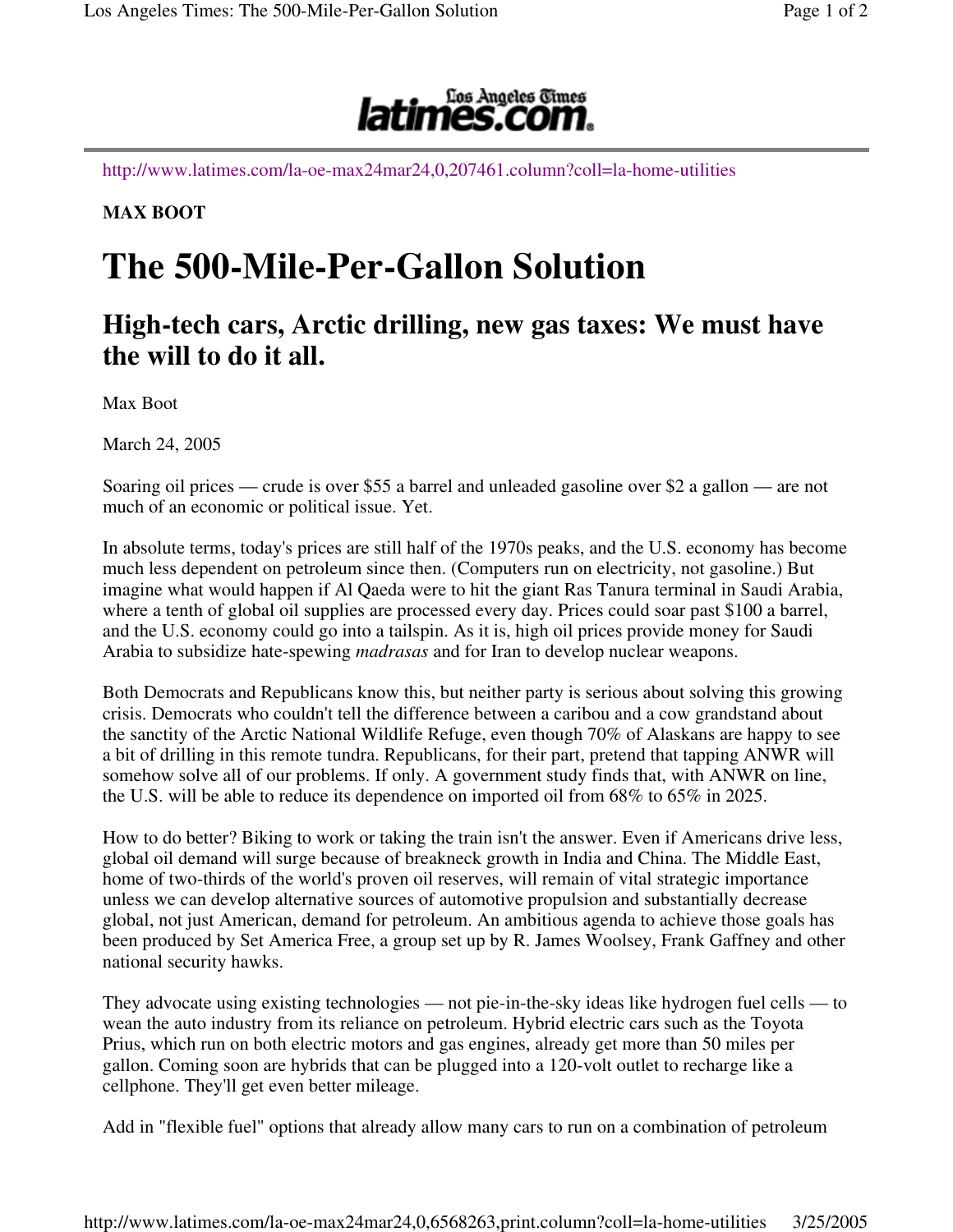

http://www.latimes.com/la-oe-max24mar24,0,207461.column?coll=la-home-utilities

**MAX BOOT**

## **The 500-Mile-Per-Gallon Solution**

## **High-tech cars, Arctic drilling, new gas taxes: We must have the will to do it all.**

Max Boot

March 24, 2005

Soaring oil prices — crude is over \$55 a barrel and unleaded gasoline over \$2 a gallon — are not much of an economic or political issue. Yet.

In absolute terms, today's prices are still half of the 1970s peaks, and the U.S. economy has become much less dependent on petroleum since then. (Computers run on electricity, not gasoline.) But imagine what would happen if Al Qaeda were to hit the giant Ras Tanura terminal in Saudi Arabia, where a tenth of global oil supplies are processed every day. Prices could soar past \$100 a barrel, and the U.S. economy could go into a tailspin. As it is, high oil prices provide money for Saudi Arabia to subsidize hate-spewing *madrasas* and for Iran to develop nuclear weapons.

Both Democrats and Republicans know this, but neither party is serious about solving this growing crisis. Democrats who couldn't tell the difference between a caribou and a cow grandstand about the sanctity of the Arctic National Wildlife Refuge, even though 70% of Alaskans are happy to see a bit of drilling in this remote tundra. Republicans, for their part, pretend that tapping ANWR will somehow solve all of our problems. If only. A government study finds that, with ANWR on line, the U.S. will be able to reduce its dependence on imported oil from 68% to 65% in 2025.

How to do better? Biking to work or taking the train isn't the answer. Even if Americans drive less, global oil demand will surge because of breakneck growth in India and China. The Middle East, home of two-thirds of the world's proven oil reserves, will remain of vital strategic importance unless we can develop alternative sources of automotive propulsion and substantially decrease global, not just American, demand for petroleum. An ambitious agenda to achieve those goals has been produced by Set America Free, a group set up by R. James Woolsey, Frank Gaffney and other national security hawks.

They advocate using existing technologies — not pie-in-the-sky ideas like hydrogen fuel cells — to wean the auto industry from its reliance on petroleum. Hybrid electric cars such as the Toyota Prius, which run on both electric motors and gas engines, already get more than 50 miles per gallon. Coming soon are hybrids that can be plugged into a 120-volt outlet to recharge like a cellphone. They'll get even better mileage.

Add in "flexible fuel" options that already allow many cars to run on a combination of petroleum